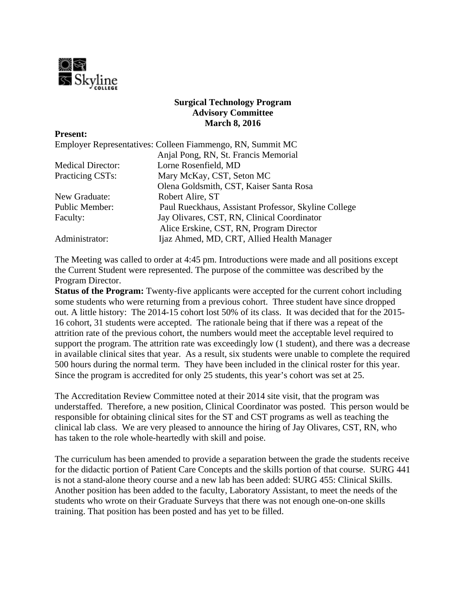

## **Surgical Technology Program Advisory Committee March 8, 2016**

| <b>Present:</b>          |                                                            |
|--------------------------|------------------------------------------------------------|
|                          | Employer Representatives: Colleen Fiammengo, RN, Summit MC |
|                          | Anjal Pong, RN, St. Francis Memorial                       |
| <b>Medical Director:</b> | Lorne Rosenfield, MD                                       |
| Practicing CSTs:         | Mary McKay, CST, Seton MC                                  |
|                          | Olena Goldsmith, CST, Kaiser Santa Rosa                    |
| New Graduate:            | Robert Alire, ST                                           |
| Public Member:           | Paul Rueckhaus, Assistant Professor, Skyline College       |
| Faculty:                 | Jay Olivares, CST, RN, Clinical Coordinator                |
|                          | Alice Erskine, CST, RN, Program Director                   |
| Administrator:           | Ijaz Ahmed, MD, CRT, Allied Health Manager                 |

The Meeting was called to order at 4:45 pm. Introductions were made and all positions except the Current Student were represented. The purpose of the committee was described by the Program Director.

**Status of the Program:** Twenty-five applicants were accepted for the current cohort including some students who were returning from a previous cohort. Three student have since dropped out. A little history: The 2014-15 cohort lost 50% of its class. It was decided that for the 2015- 16 cohort, 31 students were accepted. The rationale being that if there was a repeat of the attrition rate of the previous cohort, the numbers would meet the acceptable level required to support the program. The attrition rate was exceedingly low (1 student), and there was a decrease in available clinical sites that year. As a result, six students were unable to complete the required 500 hours during the normal term. They have been included in the clinical roster for this year. Since the program is accredited for only 25 students, this year's cohort was set at 25.

The Accreditation Review Committee noted at their 2014 site visit, that the program was understaffed. Therefore, a new position, Clinical Coordinator was posted. This person would be responsible for obtaining clinical sites for the ST and CST programs as well as teaching the clinical lab class. We are very pleased to announce the hiring of Jay Olivares, CST, RN, who has taken to the role whole-heartedly with skill and poise.

The curriculum has been amended to provide a separation between the grade the students receive for the didactic portion of Patient Care Concepts and the skills portion of that course. SURG 441 is not a stand-alone theory course and a new lab has been added: SURG 455: Clinical Skills. Another position has been added to the faculty, Laboratory Assistant, to meet the needs of the students who wrote on their Graduate Surveys that there was not enough one-on-one skills training. That position has been posted and has yet to be filled.